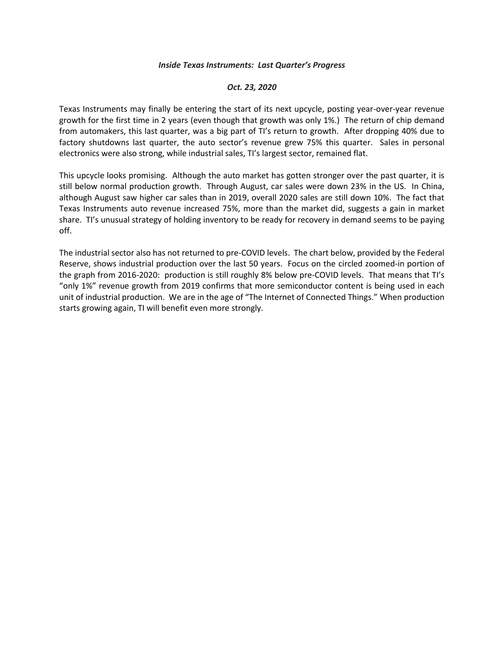## *Inside Texas Instruments: Last Quarter's Progress*

## *Oct. 23, 2020*

Texas Instruments may finally be entering the start of its next upcycle, posting year-over-year revenue growth for the first time in 2 years (even though that growth was only 1%.) The return of chip demand from automakers, this last quarter, was a big part of TI's return to growth. After dropping 40% due to factory shutdowns last quarter, the auto sector's revenue grew 75% this quarter. Sales in personal electronics were also strong, while industrial sales, TI's largest sector, remained flat.

This upcycle looks promising. Although the auto market has gotten stronger over the past quarter, it is still below normal production growth. Through August, car sales were down 23% in the US. In China, although August saw higher car sales than in 2019, overall 2020 sales are still down 10%. The fact that Texas Instruments auto revenue increased 75%, more than the market did, suggests a gain in market share. TI's unusual strategy of holding inventory to be ready for recovery in demand seems to be paying off.

The industrial sector also has not returned to pre-COVID levels. The chart below, provided by the Federal Reserve, shows industrial production over the last 50 years. Focus on the circled zoomed-in portion of the graph from 2016-2020: production is still roughly 8% below pre-COVID levels. That means that TI's "only 1%" revenue growth from 2019 confirms that more semiconductor content is being used in each unit of industrial production. We are in the age of "The Internet of Connected Things." When production starts growing again, TI will benefit even more strongly.